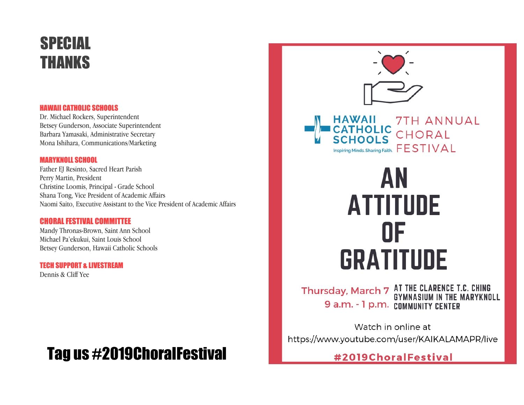# SPECIAL THANKS

#### HAWAII CATHOLIC SCHOOLS

Dr. Michael Rockers, Superintendent Betsey Gunderson, Associate Superintendent Barbara Yamasaki, Administrative Secretary Mona Ishihara, Communications/Marketing

#### MARYKNOLL SCHOOL

Father EJ Resinto, Sacred Heart Parish Perry Martin, President Christine Loomis, Principal - Grade School Shana Tong, Vice President of Academic Affairs Naomi Saito, Executive Assistant to the Vice President of Academic Affairs

#### CHORAL FESTIVAL COMMITTEE

Mandy Thronas-Brown, Saint Ann School Michael Pa'ekukui, Saint Louis School Betsey Gunderson, Hawaii Catholic Schools

### TECH SUPPORT & LIVESTREAM

Dennis & Cliff Yee

# Tag us #2019ChoralFestival



## Thursday, March 7 AT THE CLARENCE T.C. CHING<br>GYMNASIUM IN THE MARYKNOLL 9 a.m. - 1 p.m. COMMUNITY CENTER

Watch in online at https://www.youtube.com/user/KAIKALAMAPR/live

0F

**GRATITUDE** 

#2019ChoralFestival